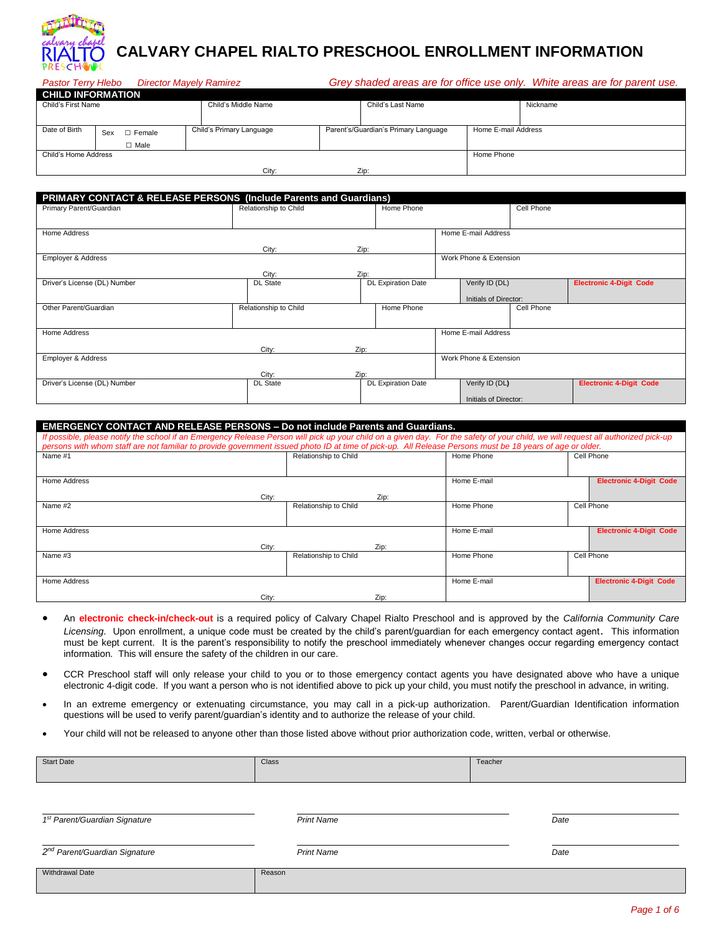

# **CALVARY CHAPEL RIALTO PRESCHOOL ENROLLMENT INFORMATION**

| <b>Pastor Terry Hlebo</b> |     | <b>Director Mayely Ramirez</b> |                          |                                      |                     | Grey shaded areas are for office use only. White areas are for parent use. |
|---------------------------|-----|--------------------------------|--------------------------|--------------------------------------|---------------------|----------------------------------------------------------------------------|
| <b>CHILD INFORMATION</b>  |     |                                |                          |                                      |                     |                                                                            |
| Child's First Name        |     |                                | Child's Middle Name      | Child's Last Name                    |                     | Nickname                                                                   |
|                           |     |                                |                          |                                      |                     |                                                                            |
| Date of Birth             | Sex | Female<br>П                    | Child's Primary Language | Parent's/Guardian's Primary Language | Home E-mail Address |                                                                            |
|                           |     | $\Box$ Male                    |                          |                                      |                     |                                                                            |
| Child's Home Address      |     |                                |                          |                                      | Home Phone          |                                                                            |
|                           |     |                                |                          |                                      |                     |                                                                            |

| PRIMARY CONTACT & RELEASE PERSONS (Include Parents and Guardians) |                       |      |                           |                        |            |                                |
|-------------------------------------------------------------------|-----------------------|------|---------------------------|------------------------|------------|--------------------------------|
| Primary Parent/Guardian                                           | Relationship to Child |      | Home Phone                |                        | Cell Phone |                                |
|                                                                   |                       |      |                           |                        |            |                                |
| Home Address                                                      |                       |      |                           | Home E-mail Address    |            |                                |
|                                                                   | City:                 | Zip: |                           |                        |            |                                |
| Employer & Address                                                |                       |      |                           | Work Phone & Extension |            |                                |
|                                                                   | City:                 | Zip: |                           |                        |            |                                |
| Driver's License (DL) Number                                      | <b>DL</b> State       |      | <b>DL Expiration Date</b> | Verify ID (DL)         |            | <b>Electronic 4-Digit Code</b> |
|                                                                   |                       |      |                           | Initials of Director:  |            |                                |
| Other Parent/Guardian                                             | Relationship to Child |      | Home Phone                |                        | Cell Phone |                                |
|                                                                   |                       |      |                           |                        |            |                                |
| Home Address                                                      |                       |      |                           | Home E-mail Address    |            |                                |
|                                                                   | City:                 | Zip: |                           |                        |            |                                |
| Employer & Address                                                |                       |      |                           | Work Phone & Extension |            |                                |
|                                                                   | City:                 | Zip: |                           |                        |            |                                |
| Driver's License (DL) Number                                      | <b>DL State</b>       |      | <b>DL Expiration Date</b> | Verify ID (DL)         |            | <b>Electronic 4-Digit Code</b> |
|                                                                   |                       |      |                           | Initials of Director:  |            |                                |

#### **EMERGENCY CONTACT AND RELEASE PERSONS – Do not include Parents and Guardians.**

City: Zip:

| If possible, please notify the school if an Emergency Release Person will pick up your child on a given day. For the safety of your child, we will request all authorized pick-up<br>persons with whom staff are not familiar to provide government issued photo ID at time of pick-up. All Release Persons must be 18 years of age or older. |                       |             |                                |
|-----------------------------------------------------------------------------------------------------------------------------------------------------------------------------------------------------------------------------------------------------------------------------------------------------------------------------------------------|-----------------------|-------------|--------------------------------|
| Name #1                                                                                                                                                                                                                                                                                                                                       | Relationship to Child | Home Phone  | Cell Phone                     |
|                                                                                                                                                                                                                                                                                                                                               |                       |             |                                |
| Home Address                                                                                                                                                                                                                                                                                                                                  |                       | Home E-mail | <b>Electronic 4-Digit Code</b> |
| City:                                                                                                                                                                                                                                                                                                                                         | Zip:                  |             |                                |
| Name #2                                                                                                                                                                                                                                                                                                                                       | Relationship to Child | Home Phone  | Cell Phone                     |
|                                                                                                                                                                                                                                                                                                                                               |                       |             |                                |
| Home Address                                                                                                                                                                                                                                                                                                                                  |                       | Home E-mail | <b>Electronic 4-Digit Code</b> |
| City:                                                                                                                                                                                                                                                                                                                                         | Zip:                  |             |                                |
| Name #3                                                                                                                                                                                                                                                                                                                                       | Relationship to Child | Home Phone  | Cell Phone                     |
|                                                                                                                                                                                                                                                                                                                                               |                       |             |                                |
| <b>Home Address</b>                                                                                                                                                                                                                                                                                                                           |                       | Home E-mail | <b>Electronic 4-Digit Code</b> |
| City:                                                                                                                                                                                                                                                                                                                                         | Zip:                  |             |                                |

- An **electronic check-in/check-out** is a required policy of Calvary Chapel Rialto Preschool and is approved by the *California Community Care Licensing*. Upon enrollment, a unique code must be created by the child's parent/guardian for each emergency contact agent. This information must be kept current. It is the parent's responsibility to notify the preschool immediately whenever changes occur regarding emergency contact information. This will ensure the safety of the children in our care.
- CCR Preschool staff will only release your child to you or to those emergency contact agents you have designated above who have a unique electronic 4-digit code. If you want a person who is not identified above to pick up your child, you must notify the preschool in advance, in writing.
- In an extreme emergency or extenuating circumstance, you may call in a pick-up authorization. Parent/Guardian Identification information questions will be used to verify parent/guardian's identity and to authorize the release of your child.
- Your child will not be released to anyone other than those listed above without prior authorization code, written, verbal or otherwise.

| <b>Start Date</b> | Class | Teacher |
|-------------------|-------|---------|
|                   |       |         |

| 1 <sup>st</sup> Parent/Guardian Signature | <b>Print Name</b> | Date |
|-------------------------------------------|-------------------|------|
| 2 <sup>nd</sup> Parent/Guardian Signature | <b>Print Name</b> | Date |
| Withdrawal Date                           | Reason            |      |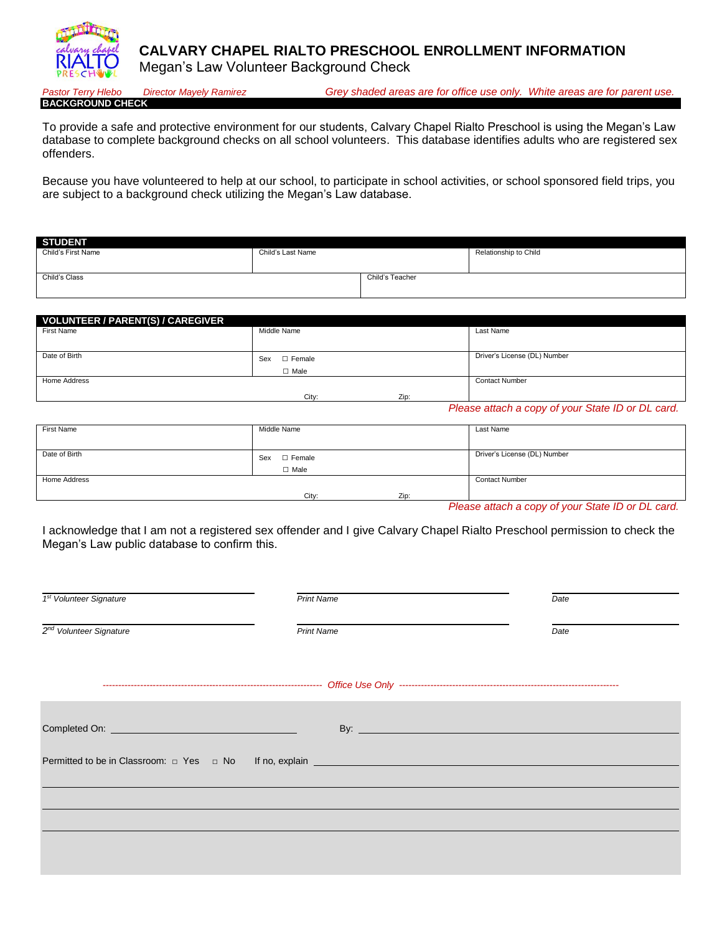**CALVARY CHAPEL RIALTO PRESCHOOL ENROLLMENT INFORMATION**

Megan's Law Volunteer Background Check

**BACKGROUND CHECK**

*Pastor Terry Hlebo Director Mayely Ramirez Grey shaded areas are for office use only. White areas are for parent use.*

To provide a safe and protective environment for our students, Calvary Chapel Rialto Preschool is using the Megan's Law database to complete background checks on all school volunteers. This database identifies adults who are registered sex offenders.

Because you have volunteered to help at our school, to participate in school activities, or school sponsored field trips, you are subject to a background check utilizing the Megan's Law database.

| <b>STUDENT</b>     |                   |                 |                       |
|--------------------|-------------------|-----------------|-----------------------|
| Child's First Name | Child's Last Name |                 | Relationship to Child |
|                    |                   |                 |                       |
| Child's Class      |                   | Child's Teacher |                       |
|                    |                   |                 |                       |

| VOLUNTEER / PARENT(S) / CAREGIVER |                      |                              |  |  |  |  |  |  |
|-----------------------------------|----------------------|------------------------------|--|--|--|--|--|--|
| First Name                        | Middle Name          | Last Name                    |  |  |  |  |  |  |
|                                   |                      |                              |  |  |  |  |  |  |
| Date of Birth                     | $\Box$ Female<br>Sex | Driver's License (DL) Number |  |  |  |  |  |  |
|                                   | $\Box$ Male          |                              |  |  |  |  |  |  |
| Home Address                      |                      | <b>Contact Number</b>        |  |  |  |  |  |  |
|                                   | Zip:<br>City:        |                              |  |  |  |  |  |  |

*Please attach a copy of your State ID or DL card.*

| First Name    | Middle Name          | Last Name                    |
|---------------|----------------------|------------------------------|
|               |                      |                              |
| Date of Birth | Sex<br>$\Box$ Female | Driver's License (DL) Number |
|               | $\Box$ Male          |                              |
| Home Address  |                      | <b>Contact Number</b>        |
|               | Zip:<br>City:        |                              |

*Please attach a copy of your State ID or DL card.*

I acknowledge that I am not a registered sex offender and I give Calvary Chapel Rialto Preschool permission to check the Megan's Law public database to confirm this.

| 1 <sup>st</sup> Volunteer Signature | <b>Print Name</b> | Date |  |
|-------------------------------------|-------------------|------|--|
| $2nd$ Volunteer Signature           | <b>Print Name</b> | Date |  |
|                                     |                   |      |  |
|                                     |                   |      |  |
|                                     |                   |      |  |
|                                     |                   |      |  |
|                                     |                   |      |  |
|                                     |                   |      |  |
|                                     |                   |      |  |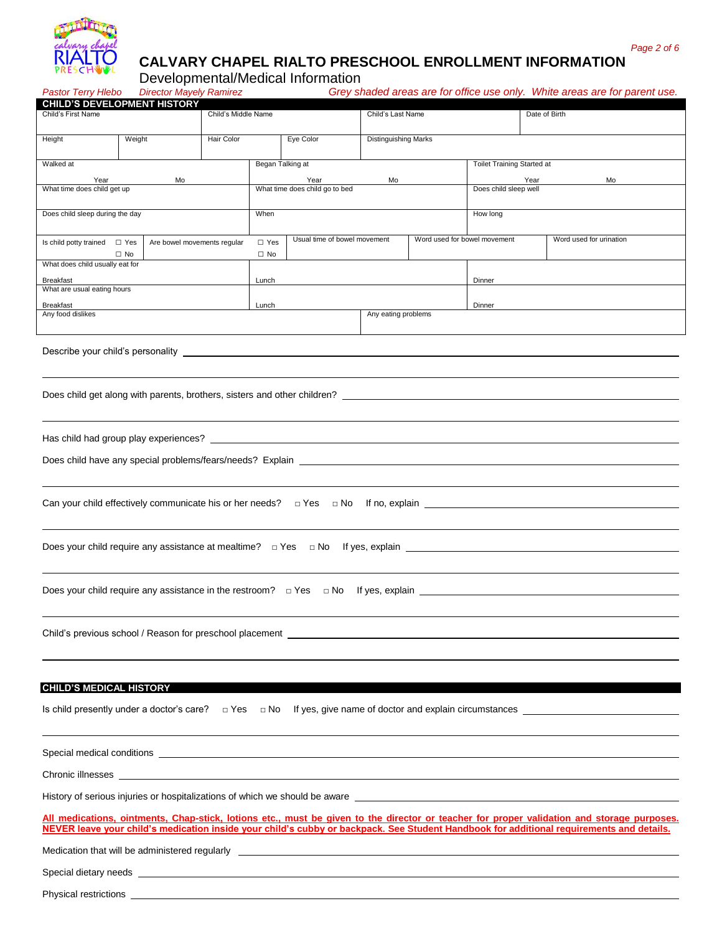

# **CALVARY CHAPEL RIALTO PRESCHOOL ENROLLMENT INFORMATION**

Developmental/Medical Information

*Pastor Terry Hlebo Director Mayely Ramirez Grey shaded areas are for office use only. White areas are for parent use.*

| <b>CHILD'S DEVELOPMENT HISTORY</b>                                                                                                                                                                                                  |                                                                                                                                                                                                                                                                                        |                             |                                        |                              |                             |                              |                            |                                                                                                     |
|-------------------------------------------------------------------------------------------------------------------------------------------------------------------------------------------------------------------------------------|----------------------------------------------------------------------------------------------------------------------------------------------------------------------------------------------------------------------------------------------------------------------------------------|-----------------------------|----------------------------------------|------------------------------|-----------------------------|------------------------------|----------------------------|-----------------------------------------------------------------------------------------------------|
| Child's First Name                                                                                                                                                                                                                  |                                                                                                                                                                                                                                                                                        |                             | Child's Middle Name                    |                              |                             | Child's Last Name            |                            | Date of Birth                                                                                       |
| Height                                                                                                                                                                                                                              | Weight                                                                                                                                                                                                                                                                                 | Hair Color                  |                                        | Eye Color                    | <b>Distinguishing Marks</b> |                              |                            |                                                                                                     |
| Walked at                                                                                                                                                                                                                           |                                                                                                                                                                                                                                                                                        |                             | Began Talking at                       |                              |                             |                              | Toilet Training Started at |                                                                                                     |
| Year<br>What time does child get up                                                                                                                                                                                                 |                                                                                                                                                                                                                                                                                        |                             | Year<br>What time does child go to bed | Mo                           |                             | Does child sleep well        | Year<br>Mo                 |                                                                                                     |
|                                                                                                                                                                                                                                     |                                                                                                                                                                                                                                                                                        |                             |                                        |                              |                             |                              |                            |                                                                                                     |
| Does child sleep during the day                                                                                                                                                                                                     |                                                                                                                                                                                                                                                                                        |                             | When                                   |                              |                             |                              | How long                   |                                                                                                     |
| Is child potty trained □ Yes                                                                                                                                                                                                        |                                                                                                                                                                                                                                                                                        | Are bowel movements regular | $\square$ Yes                          | Usual time of bowel movement |                             | Word used for bowel movement |                            | Word used for urination                                                                             |
| What does child usually eat for                                                                                                                                                                                                     | $\Box$ No                                                                                                                                                                                                                                                                              |                             | $\Box$ No                              |                              |                             |                              |                            |                                                                                                     |
| Breakfast                                                                                                                                                                                                                           |                                                                                                                                                                                                                                                                                        |                             | Lunch                                  |                              |                             |                              | Dinner                     |                                                                                                     |
| What are usual eating hours                                                                                                                                                                                                         |                                                                                                                                                                                                                                                                                        |                             |                                        |                              |                             |                              |                            |                                                                                                     |
| Breakfast<br>Any food dislikes                                                                                                                                                                                                      |                                                                                                                                                                                                                                                                                        |                             | Lunch                                  |                              | Any eating problems         |                              | Dinner                     |                                                                                                     |
|                                                                                                                                                                                                                                     |                                                                                                                                                                                                                                                                                        |                             |                                        |                              |                             |                              |                            |                                                                                                     |
| Does child get along with parents, brothers, sisters and other children?                                                                                                                                                            |                                                                                                                                                                                                                                                                                        |                             |                                        |                              |                             |                              |                            |                                                                                                     |
|                                                                                                                                                                                                                                     |                                                                                                                                                                                                                                                                                        |                             |                                        |                              |                             |                              |                            |                                                                                                     |
|                                                                                                                                                                                                                                     |                                                                                                                                                                                                                                                                                        |                             |                                        |                              |                             |                              |                            |                                                                                                     |
|                                                                                                                                                                                                                                     |                                                                                                                                                                                                                                                                                        |                             |                                        |                              |                             |                              |                            |                                                                                                     |
|                                                                                                                                                                                                                                     |                                                                                                                                                                                                                                                                                        |                             |                                        |                              |                             |                              |                            |                                                                                                     |
|                                                                                                                                                                                                                                     |                                                                                                                                                                                                                                                                                        |                             |                                        |                              |                             |                              |                            | Can your child effectively communicate his or her needs? $\Box$ Yes $\Box$ No If no, explain $\Box$ |
|                                                                                                                                                                                                                                     |                                                                                                                                                                                                                                                                                        |                             |                                        |                              |                             |                              |                            | Does your child require any assistance at mealtime? $\Box$ Yes $\Box$ No If yes, explain $\Box$     |
| Does your child require any assistance in the restroom? $\Box$ Yes $\Box$ No If yes, explain $\Box$                                                                                                                                 |                                                                                                                                                                                                                                                                                        |                             |                                        |                              |                             |                              |                            |                                                                                                     |
| Child's previous school / Reason for preschool placement ________________________                                                                                                                                                   |                                                                                                                                                                                                                                                                                        |                             |                                        |                              |                             |                              |                            |                                                                                                     |
|                                                                                                                                                                                                                                     |                                                                                                                                                                                                                                                                                        |                             |                                        |                              |                             |                              |                            |                                                                                                     |
| <b>CHILD'S MEDICAL HISTORY</b>                                                                                                                                                                                                      |                                                                                                                                                                                                                                                                                        |                             |                                        |                              |                             |                              |                            |                                                                                                     |
| Is child presently under a doctor's care? $\Box$ Yes                                                                                                                                                                                |                                                                                                                                                                                                                                                                                        |                             |                                        |                              |                             |                              |                            | $\Box$ No If yes, give name of doctor and explain circumstances $\Box$                              |
|                                                                                                                                                                                                                                     |                                                                                                                                                                                                                                                                                        |                             |                                        |                              |                             |                              |                            |                                                                                                     |
| Chronic illnesses<br><u> 1989 - Johann Stoff, deutscher Stoff, der Stoff, der Stoff, der Stoff, der Stoff, der Stoff, der Stoff, der S</u>                                                                                          |                                                                                                                                                                                                                                                                                        |                             |                                        |                              |                             |                              |                            |                                                                                                     |
| History of serious injuries or hospitalizations of which we should be aware example and the state of the state of the state of the state of the state of the state of the state of the state of the state of the state of the       |                                                                                                                                                                                                                                                                                        |                             |                                        |                              |                             |                              |                            |                                                                                                     |
|                                                                                                                                                                                                                                     | All medications, ointments, Chap-stick, lotions etc., must be given to the director or teacher for proper validation and storage purposes.<br>NEVER leave your child's medication inside your child's cubby or backpack. See Student Handbook for additional requirements and details. |                             |                                        |                              |                             |                              |                            |                                                                                                     |
| Medication that will be administered regularly <b>example 2008</b> and 2008 and 2008 and 2008 and 2008 and 2008 and 2008 and 2008 and 2008 and 2008 and 2008 and 2008 and 2008 and 2008 and 2008 and 2008 and 2008 and 2008 and 200 |                                                                                                                                                                                                                                                                                        |                             |                                        |                              |                             |                              |                            |                                                                                                     |
| Special dietary needs experience and the second contract of the second contract of the second contract of the second contract of the second contract of the second contract of the second contract of the second contract of t      |                                                                                                                                                                                                                                                                                        |                             |                                        |                              |                             |                              |                            |                                                                                                     |
| Physical restrictions experience and the set of the set of the set of the set of the set of the set of the set of the set of the set of the set of the set of the set of the set of the set of the set of the set of the set o      |                                                                                                                                                                                                                                                                                        |                             |                                        |                              |                             |                              |                            |                                                                                                     |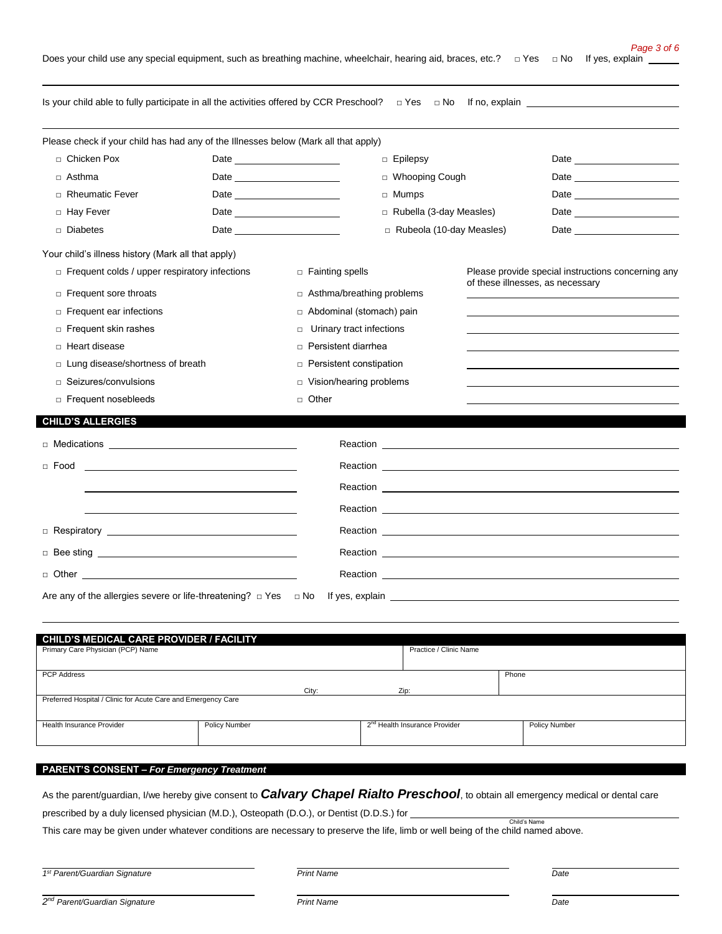Is your child able to fully participate in all the activities offered by CCR Preschool? □ Yes □ No If no, explain Please check if your child has had any of the Illnesses below (Mark all that apply) □ Chicken Pox Date □ Epilepsy Date □ Asthma Date □ Whooping Cough Date □ Rheumatic Fever Date □ Mumps Date □ Hay Fever Date \_\_\_\_\_\_\_\_\_\_\_\_\_\_\_\_\_\_\_\_\_\_ □ Rubella (3-day Measles) Date \_\_\_ □ Diabetes Date □ Rubeola (10-day Measles) Date Your child's illness history (Mark all that apply) □ Frequent colds / upper respiratory infections □ Fainting spells Please provide special instructions concerning any of these illnesses, as necessary □ Frequent sore throats <br>□ Asthma/breathing problems □ Frequent ear infections <br>□ Abdominal (stomach) pain □ Frequent skin rashes <br>□ Urinary tract infections □ Heart disease □ Persistent diarrhea □ Lung disease/shortness of breath □ □ Persistent constipation □ Seizures/convulsions <br>□ Vision/hearing problems □ Frequent nosebleeds □ Other **CHILD'S ALLERGIES**  □ Medications Reaction □ Food **Reaction** Reaction Reaction Reaction Reaction Reaction Reaction Reaction Reaction Reaction Reaction Reaction Reaction Reaction Reaction Reaction Reaction Reaction Reaction Reaction Reaction Reaction Reaction Reac Reaction \_ Reaction □ Respiratory Reaction □ Bee sting <u>Network Reaction</u> Reaction Network Reaction Network Reaction Network Reaction □ Other Reaction Are any of the allergies severe or life-threatening?  $□$  Yes  $□$  No If yes, explain

| CHILD'S MEDICAL CARE PROVIDER / FACILITY                      |               |                                           |                        |               |  |
|---------------------------------------------------------------|---------------|-------------------------------------------|------------------------|---------------|--|
| Primary Care Physician (PCP) Name                             |               |                                           | Practice / Clinic Name |               |  |
|                                                               |               |                                           |                        |               |  |
| <b>PCP Address</b>                                            |               |                                           | Phone                  |               |  |
|                                                               | City:         | Zip:                                      |                        |               |  |
| Preferred Hospital / Clinic for Acute Care and Emergency Care |               |                                           |                        |               |  |
|                                                               |               |                                           |                        |               |  |
| <b>Health Insurance Provider</b>                              | Policy Number | 2 <sup>nd</sup> Health Insurance Provider |                        | Policy Number |  |
|                                                               |               |                                           |                        |               |  |
|                                                               |               |                                           |                        |               |  |

### **PARENT'S CONSENT –** *For Emergency Treatment*

As the parent/guardian, I/we hereby give consent to *Calvary Chapel Rialto Preschool*, to obtain all emergency medical or dental care

prescribed by a duly licensed physician (M.D.), Osteopath (D.O.), or Dentist (D.D.S.) for

This care may be given under whatever conditions are necessary to preserve the life, limb or well being of the child named above.

*1 st Parent/Guardian Signature Print Name Date*

Child's Name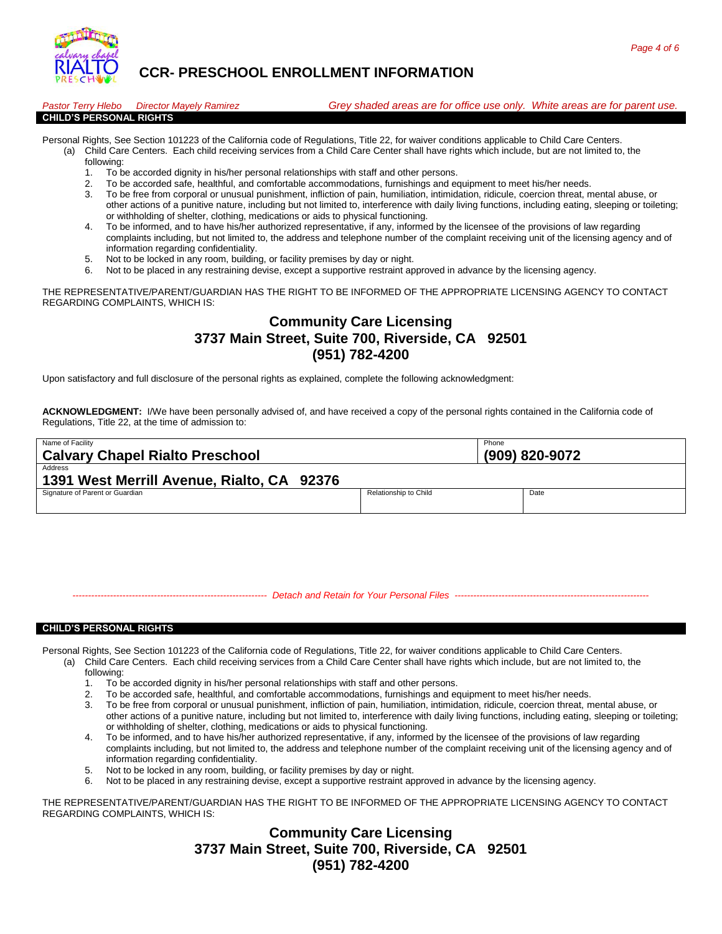

# **CCR- PRESCHOOL ENROLLMENT INFORMATION**

| <b>Pastor Terry Hlebo</b>      | <b>Director Mavely Ramirez</b> | Grey shaded areas are for office use only. White areas are for parent use. |  |
|--------------------------------|--------------------------------|----------------------------------------------------------------------------|--|
| <b>CHILD'S PERSONAL RIGHTS</b> |                                |                                                                            |  |

- Personal Rights, See Section 101223 of the California code of Regulations, Title 22, for waiver conditions applicable to Child Care Centers. (a) Child Care Centers. Each child receiving services from a Child Care Center shall have rights which include, but are not limited to, the
	- following:
	- 1. To be accorded dignity in his/her personal relationships with staff and other persons.
	- 2. To be accorded safe, healthful, and comfortable accommodations, furnishings and equipment to meet his/her needs.<br>3. To be free from corporal or unusual punishment infliction of pain, bumiliation, intimidation, ridicule,
	- 3. To be free from corporal or unusual punishment, infliction of pain, humiliation, intimidation, ridicule, coercion threat, mental abuse, or other actions of a punitive nature, including but not limited to, interference with daily living functions, including eating, sleeping or toileting; or withholding of shelter, clothing, medications or aids to physical functioning.
	- 4. To be informed, and to have his/her authorized representative, if any, informed by the licensee of the provisions of law regarding complaints including, but not limited to, the address and telephone number of the complaint receiving unit of the licensing agency and of information regarding confidentiality.
	- 5. Not to be locked in any room, building, or facility premises by day or night.
	- 6. Not to be placed in any restraining devise, except a supportive restraint approved in advance by the licensing agency.

THE REPRESENTATIVE/PARENT/GUARDIAN HAS THE RIGHT TO BE INFORMED OF THE APPROPRIATE LICENSING AGENCY TO CONTACT REGARDING COMPLAINTS, WHICH IS:

# **Community Care Licensing 3737 Main Street, Suite 700, Riverside, CA 92501 (951) 782-4200**

Upon satisfactory and full disclosure of the personal rights as explained, complete the following acknowledgment:

**ACKNOWLEDGMENT:** I/We have been personally advised of, and have received a copy of the personal rights contained in the California code of Regulations, Title 22, at the time of admission to:

| Name of Facility                           | Phone                 |                |  |  |
|--------------------------------------------|-----------------------|----------------|--|--|
| <b>Calvary Chapel Rialto Preschool</b>     |                       | (909) 820-9072 |  |  |
| Address                                    |                       |                |  |  |
| 1391 West Merrill Avenue, Rialto, CA 92376 |                       |                |  |  |
| Signature of Parent or Guardian            | Relationship to Child | Date           |  |  |
|                                            |                       |                |  |  |

*-------------------------------------------------------------- Detach and Retain for Your Personal Files --------------------------------------------------------------*

#### **CHILD'S PERSONAL RIGHTS**

Personal Rights, See Section 101223 of the California code of Regulations, Title 22, for waiver conditions applicable to Child Care Centers.

- (a) Child Care Centers. Each child receiving services from a Child Care Center shall have rights which include, but are not limited to, the following:
	- 1. To be accorded dignity in his/her personal relationships with staff and other persons.
	- 2. To be accorded safe, healthful, and comfortable accommodations, furnishings and equipment to meet his/her needs.
	- 3. To be free from corporal or unusual punishment, infliction of pain, humiliation, intimidation, ridicule, coercion threat, mental abuse, or other actions of a punitive nature, including but not limited to, interference with daily living functions, including eating, sleeping or toileting; or withholding of shelter, clothing, medications or aids to physical functioning.
	- To be informed, and to have his/her authorized representative, if any, informed by the licensee of the provisions of law regarding complaints including, but not limited to, the address and telephone number of the complaint receiving unit of the licensing agency and of information regarding confidentiality.
	- 5. Not to be locked in any room, building, or facility premises by day or night.
	- 6. Not to be placed in any restraining devise, except a supportive restraint approved in advance by the licensing agency.

THE REPRESENTATIVE/PARENT/GUARDIAN HAS THE RIGHT TO BE INFORMED OF THE APPROPRIATE LICENSING AGENCY TO CONTACT REGARDING COMPLAINTS, WHICH IS:

> **Community Care Licensing 3737 Main Street, Suite 700, Riverside, CA 92501 (951) 782-4200**